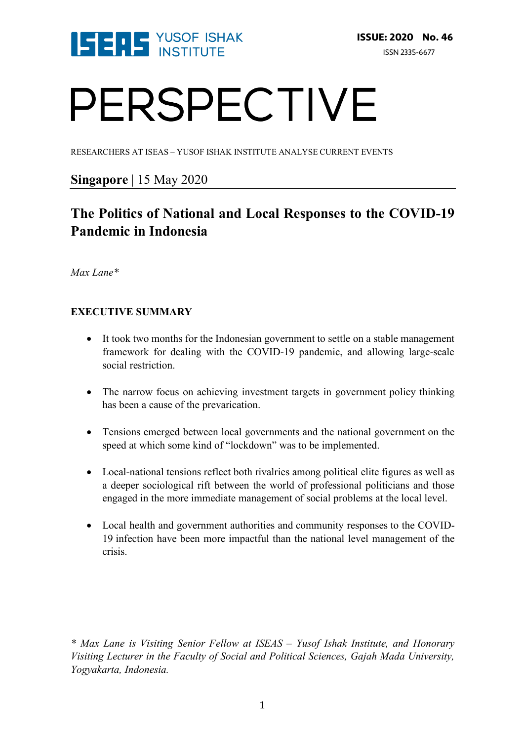

# PERSPECTIVE

RESEARCHERS AT ISEAS – YUSOF ISHAK INSTITUTE ANALYSE CURRENT EVENTS

## **Singapore** | 15 May 2020

## **The Politics of National and Local Responses to the COVID-19 Pandemic in Indonesia**

*Max Lane\**

### **EXECUTIVE SUMMARY**

- It took two months for the Indonesian government to settle on a stable management framework for dealing with the COVID-19 pandemic, and allowing large-scale social restriction.
- The narrow focus on achieving investment targets in government policy thinking has been a cause of the prevarication.
- Tensions emerged between local governments and the national government on the speed at which some kind of "lockdown" was to be implemented.
- Local-national tensions reflect both rivalries among political elite figures as well as a deeper sociological rift between the world of professional politicians and those engaged in the more immediate management of social problems at the local level.
- Local health and government authorities and community responses to the COVID-19 infection have been more impactful than the national level management of the crisis.

*\* Max Lane is Visiting Senior Fellow at ISEAS – Yusof Ishak Institute, and Honorary Visiting Lecturer in the Faculty of Social and Political Sciences, Gajah Mada University, Yogyakarta, Indonesia.*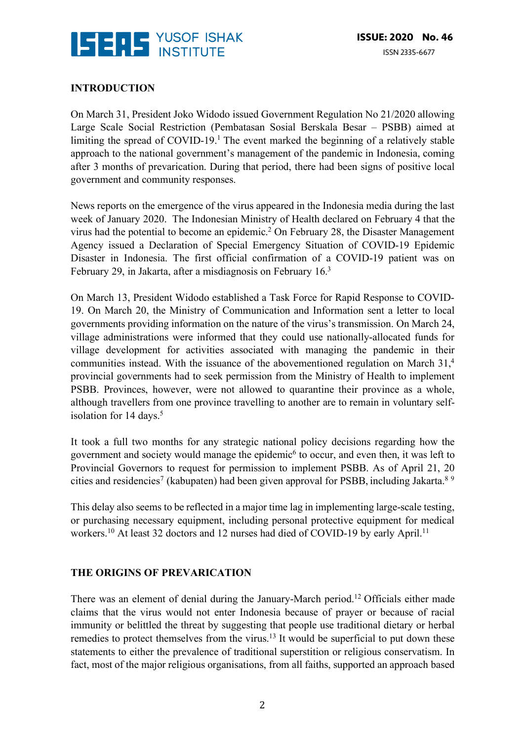

#### **INTRODUCTION**

On March 31, President Joko Widodo issued Government Regulation No 21/2020 allowing Large Scale Social Restriction (Pembatasan Sosial Berskala Besar – PSBB) aimed at limiting the spread of  $COVID-19<sup>1</sup>$ . The event marked the beginning of a relatively stable approach to the national government's management of the pandemic in Indonesia, coming after 3 months of prevarication. During that period, there had been signs of positive local government and community responses.

News reports on the emergence of the virus appeared in the Indonesia media during the last week of January 2020. The Indonesian Ministry of Health declared on February 4 that the virus had the potential to become an epidemic.2 On February 28, the Disaster Management Agency issued a Declaration of Special Emergency Situation of COVID-19 Epidemic Disaster in Indonesia. The first official confirmation of a COVID-19 patient was on February 29, in Jakarta, after a misdiagnosis on February 16.3

On March 13, President Widodo established a Task Force for Rapid Response to COVID-19. On March 20, the Ministry of Communication and Information sent a letter to local governments providing information on the nature of the virus's transmission. On March 24, village administrations were informed that they could use nationally-allocated funds for village development for activities associated with managing the pandemic in their communities instead. With the issuance of the abovementioned regulation on March 31,<sup>4</sup> provincial governments had to seek permission from the Ministry of Health to implement PSBB. Provinces, however, were not allowed to quarantine their province as a whole, although travellers from one province travelling to another are to remain in voluntary selfisolation for  $14 \text{ days}$ .<sup>5</sup>

It took a full two months for any strategic national policy decisions regarding how the government and society would manage the epidemic<sup>6</sup> to occur, and even then, it was left to Provincial Governors to request for permission to implement PSBB. As of April 21, 20 cities and residencies<sup>7</sup> (kabupaten) had been given approval for PSBB, including Jakarta.<sup>8 9</sup>

This delay also seems to be reflected in a major time lag in implementing large-scale testing, or purchasing necessary equipment, including personal protective equipment for medical workers.<sup>10</sup> At least 32 doctors and 12 nurses had died of COVID-19 by early April.<sup>11</sup>

#### **THE ORIGINS OF PREVARICATION**

There was an element of denial during the January-March period.12 Officials either made claims that the virus would not enter Indonesia because of prayer or because of racial immunity or belittled the threat by suggesting that people use traditional dietary or herbal remedies to protect themselves from the virus.<sup>13</sup> It would be superficial to put down these statements to either the prevalence of traditional superstition or religious conservatism. In fact, most of the major religious organisations, from all faiths, supported an approach based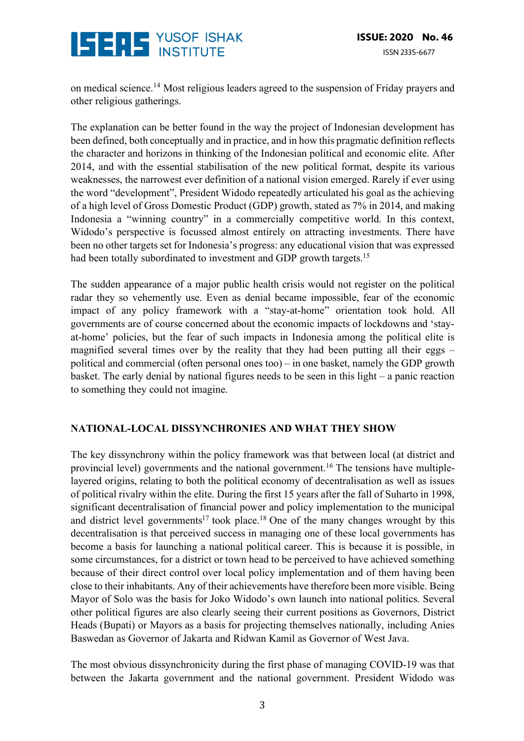

on medical science.14 Most religious leaders agreed to the suspension of Friday prayers and other religious gatherings.

The explanation can be better found in the way the project of Indonesian development has been defined, both conceptually and in practice, and in how this pragmatic definition reflects the character and horizons in thinking of the Indonesian political and economic elite. After 2014, and with the essential stabilisation of the new political format, despite its various weaknesses, the narrowest ever definition of a national vision emerged. Rarely if ever using the word "development", President Widodo repeatedly articulated his goal as the achieving of a high level of Gross Domestic Product (GDP) growth, stated as 7% in 2014, and making Indonesia a "winning country" in a commercially competitive world. In this context, Widodo's perspective is focussed almost entirely on attracting investments. There have been no other targets set for Indonesia's progress: any educational vision that was expressed had been totally subordinated to investment and GDP growth targets.<sup>15</sup>

The sudden appearance of a major public health crisis would not register on the political radar they so vehemently use. Even as denial became impossible, fear of the economic impact of any policy framework with a "stay-at-home" orientation took hold. All governments are of course concerned about the economic impacts of lockdowns and 'stayat-home' policies, but the fear of such impacts in Indonesia among the political elite is magnified several times over by the reality that they had been putting all their eggs – political and commercial (often personal ones too) – in one basket, namely the GDP growth basket. The early denial by national figures needs to be seen in this light – a panic reaction to something they could not imagine.

#### **NATIONAL-LOCAL DISSYNCHRONIES AND WHAT THEY SHOW**

The key dissynchrony within the policy framework was that between local (at district and provincial level) governments and the national government.16 The tensions have multiplelayered origins, relating to both the political economy of decentralisation as well as issues of political rivalry within the elite. During the first 15 years after the fall of Suharto in 1998, significant decentralisation of financial power and policy implementation to the municipal and district level governments<sup>17</sup> took place.<sup>18</sup> One of the many changes wrought by this decentralisation is that perceived success in managing one of these local governments has become a basis for launching a national political career. This is because it is possible, in some circumstances, for a district or town head to be perceived to have achieved something because of their direct control over local policy implementation and of them having been close to their inhabitants. Any of their achievements have therefore been more visible. Being Mayor of Solo was the basis for Joko Widodo's own launch into national politics. Several other political figures are also clearly seeing their current positions as Governors, District Heads (Bupati) or Mayors as a basis for projecting themselves nationally, including Anies Baswedan as Governor of Jakarta and Ridwan Kamil as Governor of West Java.

The most obvious dissynchronicity during the first phase of managing COVID-19 was that between the Jakarta government and the national government. President Widodo was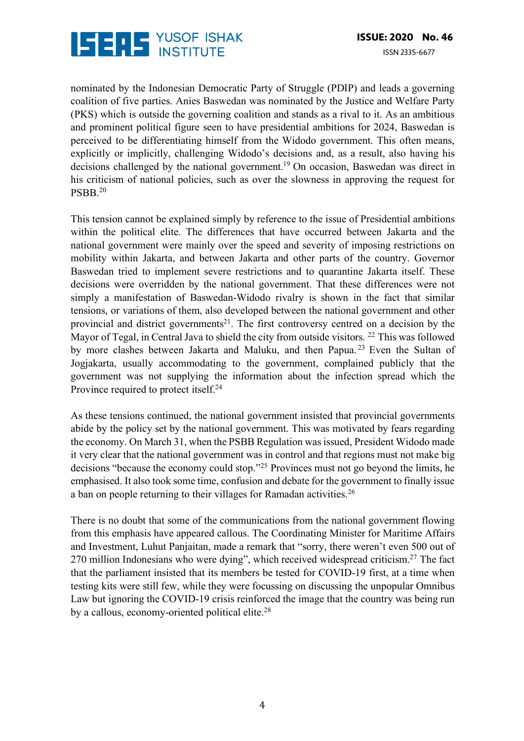

nominated by the Indonesian Democratic Party of Struggle (PDIP) and leads a governing coalition of five parties. Anies Baswedan was nominated by the Justice and Welfare Party (PKS) which is outside the governing coalition and stands as a rival to it. As an ambitious and prominent political figure seen to have presidential ambitions for 2024, Baswedan is perceived to be differentiating himself from the Widodo government. This often means, explicitly or implicitly, challenging Widodo's decisions and, as a result, also having his decisions challenged by the national government.19 On occasion, Baswedan was direct in his criticism of national policies, such as over the slowness in approving the request for PSBB.20

This tension cannot be explained simply by reference to the issue of Presidential ambitions within the political elite. The differences that have occurred between Jakarta and the national government were mainly over the speed and severity of imposing restrictions on mobility within Jakarta, and between Jakarta and other parts of the country. Governor Baswedan tried to implement severe restrictions and to quarantine Jakarta itself. These decisions were overridden by the national government. That these differences were not simply a manifestation of Baswedan-Widodo rivalry is shown in the fact that similar tensions, or variations of them, also developed between the national government and other provincial and district governments<sup>21</sup>. The first controversy centred on a decision by the Mayor of Tegal, in Central Java to shield the city from outside visitors.<sup>22</sup> This was followed by more clashes between Jakarta and Maluku, and then Papua.<sup>23</sup> Even the Sultan of Jogjakarta, usually accommodating to the government, complained publicly that the government was not supplying the information about the infection spread which the Province required to protect itself.<sup>24</sup>

As these tensions continued, the national government insisted that provincial governments abide by the policy set by the national government. This was motivated by fears regarding the economy. On March 31, when the PSBB Regulation was issued, President Widodo made it very clear that the national government was in control and that regions must not make big decisions "because the economy could stop."25 Provinces must not go beyond the limits, he emphasised. It also took some time, confusion and debate for the government to finally issue a ban on people returning to their villages for Ramadan activities.26

There is no doubt that some of the communications from the national government flowing from this emphasis have appeared callous. The Coordinating Minister for Maritime Affairs and Investment, Luhut Panjaitan, made a remark that "sorry, there weren't even 500 out of 270 million Indonesians who were dying", which received widespread criticism.<sup>27</sup> The fact that the parliament insisted that its members be tested for COVID-19 first, at a time when testing kits were still few, while they were focussing on discussing the unpopular Omnibus Law but ignoring the COVID-19 crisis reinforced the image that the country was being run by a callous, economy-oriented political elite.<sup>28</sup>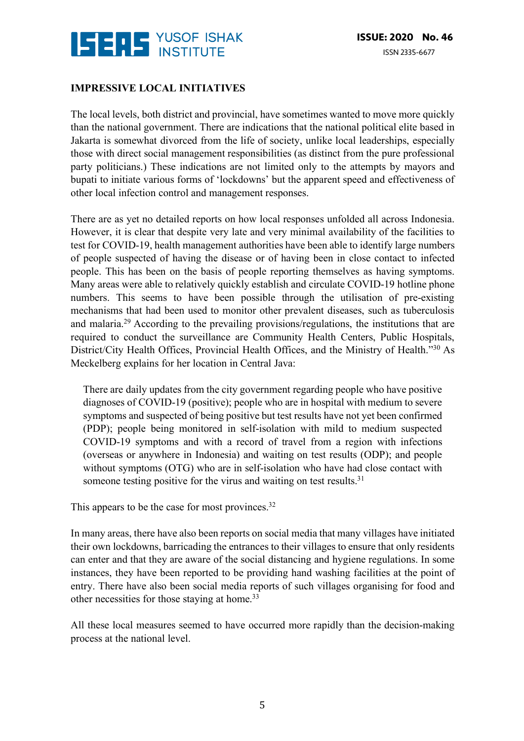

#### **IMPRESSIVE LOCAL INITIATIVES**

The local levels, both district and provincial, have sometimes wanted to move more quickly than the national government. There are indications that the national political elite based in Jakarta is somewhat divorced from the life of society, unlike local leaderships, especially those with direct social management responsibilities (as distinct from the pure professional party politicians.) These indications are not limited only to the attempts by mayors and bupati to initiate various forms of 'lockdowns' but the apparent speed and effectiveness of other local infection control and management responses.

There are as yet no detailed reports on how local responses unfolded all across Indonesia. However, it is clear that despite very late and very minimal availability of the facilities to test for COVID-19, health management authorities have been able to identify large numbers of people suspected of having the disease or of having been in close contact to infected people. This has been on the basis of people reporting themselves as having symptoms. Many areas were able to relatively quickly establish and circulate COVID-19 hotline phone numbers. This seems to have been possible through the utilisation of pre-existing mechanisms that had been used to monitor other prevalent diseases, such as tuberculosis and malaria.29 According to the prevailing provisions/regulations, the institutions that are required to conduct the surveillance are Community Health Centers, Public Hospitals, District/City Health Offices, Provincial Health Offices, and the Ministry of Health."<sup>30</sup> As Meckelberg explains for her location in Central Java:

There are daily updates from the city government regarding people who have positive diagnoses of COVID-19 (positive); people who are in hospital with medium to severe symptoms and suspected of being positive but test results have not yet been confirmed (PDP); people being monitored in self-isolation with mild to medium suspected COVID-19 symptoms and with a record of travel from a region with infections (overseas or anywhere in Indonesia) and waiting on test results (ODP); and people without symptoms (OTG) who are in self-isolation who have had close contact with someone testing positive for the virus and waiting on test results.<sup>31</sup>

This appears to be the case for most provinces.<sup>32</sup>

In many areas, there have also been reports on social media that many villages have initiated their own lockdowns, barricading the entrances to their villages to ensure that only residents can enter and that they are aware of the social distancing and hygiene regulations. In some instances, they have been reported to be providing hand washing facilities at the point of entry. There have also been social media reports of such villages organising for food and other necessities for those staying at home.33

All these local measures seemed to have occurred more rapidly than the decision-making process at the national level.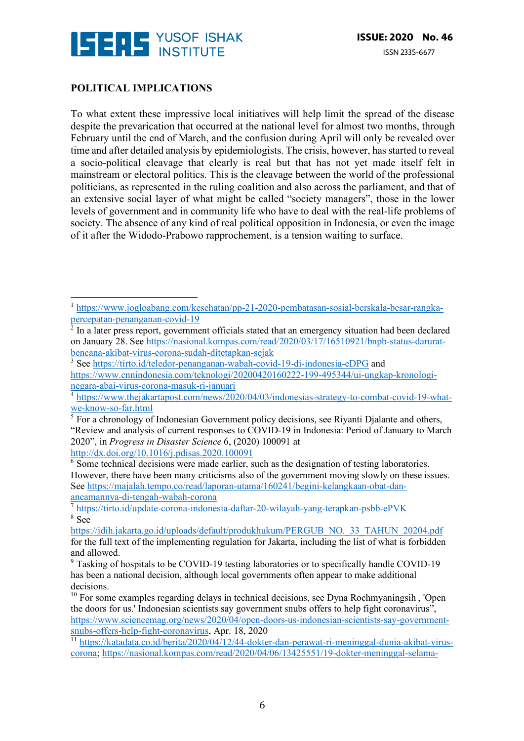

#### **POLITICAL IMPLICATIONS**

 

To what extent these impressive local initiatives will help limit the spread of the disease despite the prevarication that occurred at the national level for almost two months, through February until the end of March, and the confusion during April will only be revealed over time and after detailed analysis by epidemiologists. The crisis, however, has started to reveal a socio-political cleavage that clearly is real but that has not yet made itself felt in mainstream or electoral politics. This is the cleavage between the world of the professional politicians, as represented in the ruling coalition and also across the parliament, and that of an extensive social layer of what might be called "society managers", those in the lower levels of government and in community life who have to deal with the real-life problems of society. The absence of any kind of real political opposition in Indonesia, or even the image of it after the Widodo-Prabowo rapprochement, is a tension waiting to surface.

<sup>1</sup> https://www.jogloabang.com/kesehatan/pp-21-2020-pembatasan-sosial-berskala-besar-rangkapercepatan-penanganan-covid-19

<sup>2</sup> In a later press report, government officials stated that an emergency situation had been declared on January 28. See https://nasional.kompas.com/read/2020/03/17/16510921/bnpb-status-daruratbencana-akibat-virus-corona-sudah-ditetapkan-sejak

<sup>&</sup>lt;sup>3</sup> See https://tirto.id/teledor-penanganan-wabah-covid-19-di-indonesia-eDPG and https://www.cnnindonesia.com/teknologi/20200420160222-199-495344/ui-ungkap-kronologinegara-abai-virus-corona-masuk-ri-januari

<sup>4</sup> https://www.thejakartapost.com/news/2020/04/03/indonesias-strategy-to-combat-covid-19-whatwe-know-so-far.html

 $<sup>5</sup>$  For a chronology of Indonesian Government policy decisions, see Rivanti Dialante and others,</sup> "Review and analysis of current responses to COVID-19 in Indonesia: Period of January to March 2020", in *Progress in Disaster Science* 6, (2020) 100091 at http://dx.doi.org/10.1016/j.pdisas.2020.100091

<sup>&</sup>lt;sup>6</sup> Some technical decisions were made earlier, such as the designation of testing laboratories. However, there have been many criticisms also of the government moving slowly on these issues. See https://majalah.tempo.co/read/laporan-utama/160241/begini-kelangkaan-obat-danancamannya-di-tengah-wabah-corona

<sup>7</sup> https://tirto.id/update-corona-indonesia-daftar-20-wilayah-yang-terapkan-psbb-ePVK  $8 \overline{\text{See}}$ 

https://jdih.jakarta.go.jd/uploads/default/produkhukum/PERGUB\_NO.\_33\_TAHUN\_20204.pdf for the full text of the implementing regulation for Jakarta, including the list of what is forbidden and allowed.

<sup>&</sup>lt;sup>9</sup> Tasking of hospitals to be COVID-19 testing laboratories or to specifically handle COVID-19 has been a national decision, although local governments often appear to make additional decisions.

 $10$  For some examples regarding delays in technical decisions, see Dyna Rochmyaningsih, 'Open the doors for us.' Indonesian scientists say government snubs offers to help fight coronavirus", https://www.sciencemag.org/news/2020/04/open-doors-us-indonesian-scientists-say-governmentsnubs-offers-help-fight-coronavirus, Apr. 18, 2020

<sup>11</sup> https://katadata.co.id/berita/2020/04/12/44-dokter-dan-perawat-ri-meninggal-dunia-akibat-viruscorona; https://nasional.kompas.com/read/2020/04/06/13425551/19-dokter-meninggal-selama-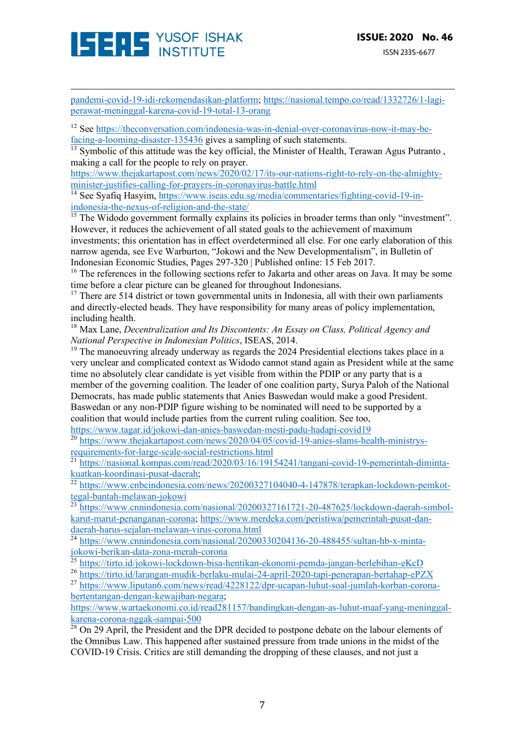

pandemi-covid-19-idi-rekomendasikan-platform; https://nasional.tempo.co/read/1332726/1-lagiperawat-meninggal-karena-covid-19-total-13-orang

<u> 1989 - Andrea San Andrew Maria (h. 1989).</u><br>1900 - Andrew Maria (h. 1980).

<sup>12</sup> See https://theconversation.com/indonesia-was-in-denial-over-coronavirus-now-it-may-befacing-a-looming-disaster-135436 gives a sampling of such statements.

 $\frac{13}{13}$  Symbolic of this attitude was the key official, the Minister of Health, Terawan Agus Putranto, making a call for the people to rely on prayer.

https://www.thejakartapost.com/news/2020/02/17/its-our-nations-right-to-rely-on-the-almightyminister-justifies-calling-for-prayers-in-coronavirus-battle.html

<sup>14</sup> See Syafiq Hasyim, https://www.iseas.edu.sg/media/commentaries/fighting-covid-19-inindonesia-the-nexus-of-religion-and-the-state/

 $\frac{15}{15}$  The Widodo government formally explains its policies in broader terms than only "investment". However, it reduces the achievement of all stated goals to the achievement of maximum investments; this orientation has in effect overdetermined all else. For one early elaboration of this narrow agenda, see Eve Warburton, "Jokowi and the New Developmentalism", in Bulletin of Indonesian Economic Studies, Pages 297-320 | Published online: 15 Feb 2017.

<sup>16</sup> The references in the following sections refer to Jakarta and other areas on Java. It may be some time before a clear picture can be gleaned for throughout Indonesians.

 $17$  There are 514 district or town governmental units in Indonesia, all with their own parliaments and directly-elected heads. They have responsibility for many areas of policy implementation, including health.

<sup>18</sup> Max Lane, *Decentralization and Its Discontents: An Essay on Class, Political Agency and National Perspective in Indonesian Politics*, ISEAS, 2014.

 $19$  The manoeuvring already underway as regards the 2024 Presidential elections takes place in a very unclear and complicated context as Widodo cannot stand again as President while at the same time no absolutely clear candidate is yet visible from within the PDIP or any party that is a member of the governing coalition. The leader of one coalition party, Surya Paloh of the National Democrats, has made public statements that Anies Baswedan would make a good President. Baswedan or any non-PDIP figure wishing to be nominated will need to be supported by a coalition that would include parties from the current ruling coalition. See too,

https://www.tagar.id/jokowi-dan-anies-baswedan-mesti-padu-hadapi-covid19

<sup>20</sup> https://www.thejakartapost.com/news/2020/04/05/covid-19-anies-slams-health-ministrysrequirements-for-large-scale-social-restrictions.html

https://nasional.kompas.com/read/2020/03/16/19154241/tangani-covid-19-pemerintah-dimintakuatkan-koordinasi-pusat-daerah;

<sup>22</sup> https://www.cnbcindonesia.com/news/20200327104040-4-147878/terapkan-lockdown-pemkottegal-bantah-melawan-jokowi

<sup>23</sup> https://www.cnnindonesia.com/nasional/20200327161721-20-487625/lockdown-daerah-simbolkarut-marut-penanganan-corona; https://www.merdeka.com/peristiwa/pemerintah-pusat-dandaerah-harus-sejalan-melawan-virus-corona.html

 $\frac{24 \text{ https://www.cnnindonesia.com/nasional}/20200330204136-20-488455/\text{sultan-hb-x-minta-}}{24}$ jokowi-berikan-data-zona-merah-corona

<sup>25</sup> https://tirto.id/jokowi-lockdown-bisa-hentikan-ekonomi-pemda-jangan-berlebihan-eKcD

<sup>26</sup> https://tirto.id/larangan-mudik-berlaku-mulai-24-april-2020-tapi-penerapan-bertahap-ePZX

<sup>27</sup> https://www.liputan6.com/news/read/4228122/dpr-ucapan-luhut-soal-jumlah-korban-coronabertentangan-dengan-kewajiban-negara;

https://www.wartaekonomi.co.id/read281157/bandingkan-dengan-as-luhut-maaf-yang-meninggalkarena-corona-nggak-sampai-500

<sup>28</sup> On 29 April, the President and the DPR decided to postpone debate on the labour elements of the Omnibus Law. This happened after sustained pressure from trade unions in the midst of the COVID-19 Crisis. Critics are still demanding the dropping of these clauses, and not just a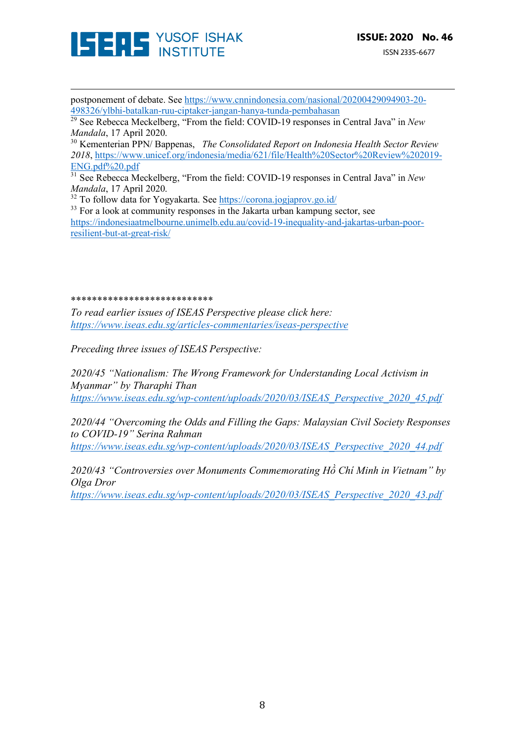

postponement of debate. See https://www.cnnindonesia.com/nasional/20200429094903-20- 498326/ylbhi-batalkan-ruu-ciptaker-jangan-hanya-tunda-pembahasan

<u> 1989 - Andrea San Andrew Maria (h. 1989).</u><br>1900 - Andrew Maria (h. 1980).

<sup>29</sup> See Rebecca Meckelberg, "From the field: COVID-19 responses in Central Java" in *New Mandala*, 17 April 2020.

<sup>30</sup> Kementerian PPN/ Bappenas, *The Consolidated Report on Indonesia Health Sector Review 2018*, https://www.unicef.org/indonesia/media/621/file/Health%20Sector%20Review%202019- ENG.pdf%20.pdf

<sup>31</sup> See Rebecca Meckelberg, "From the field: COVID-19 responses in Central Java" in *New Mandala*, 17 April 2020.

<sup>32</sup> To follow data for Yogyakarta. See https://corona.jogjaprov.go.id/

 $33$  For a look at community responses in the Jakarta urban kampung sector, see https://indonesiaatmelbourne.unimelb.edu.au/covid-19-inequality-and-jakartas-urban-poorresilient-but-at-great-risk/

#### \*\*\*\*\*\*\*\*\*\*\*\*\*\*\*\*\*\*\*\*\*\*\*\*\*\*\*

*To read earlier issues of ISEAS Perspective please click here: https://www.iseas.edu.sg/articles-commentaries/iseas-perspective*

*Preceding three issues of ISEAS Perspective:*

*2020/45 "Nationalism: The Wrong Framework for Understanding Local Activism in Myanmar" by Tharaphi Than https://www.iseas.edu.sg/wp-content/uploads/2020/03/ISEAS\_Perspective\_2020\_45.pdf*

*2020/44 "Overcoming the Odds and Filling the Gaps: Malaysian Civil Society Responses to COVID-19" Serina Rahman*

*https://www.iseas.edu.sg/wp-content/uploads/2020/03/ISEAS\_Perspective\_2020\_44.pdf*

*2020/43 "Controversies over Monuments Commemorating Hồ Chí Minh in Vietnam" by Olga Dror https://www.iseas.edu.sg/wp-content/uploads/2020/03/ISEAS\_Perspective\_2020\_43.pdf*